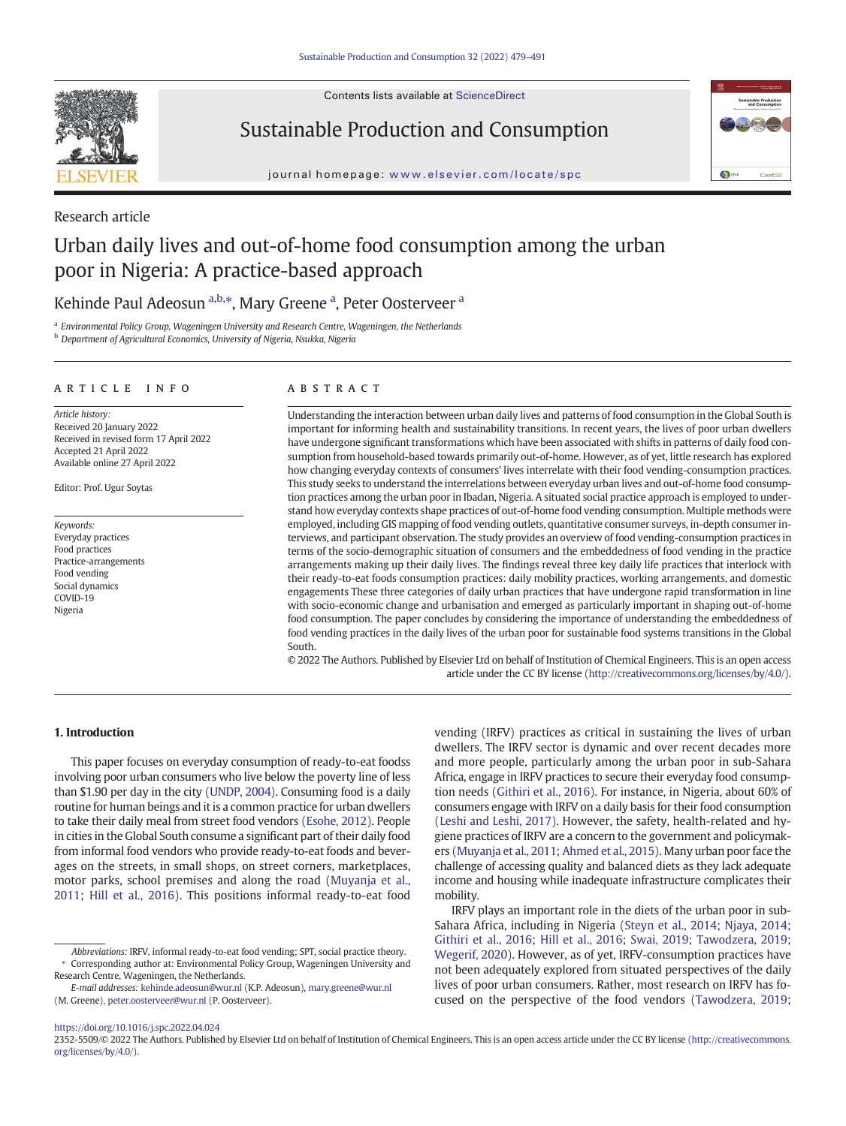Contents lists available at ScienceDirect



Sustainable Production and Consumption



journal homepage: <www.elsevier.com/locate/spc>

Research article

# Urban daily lives and out-of-home food consumption among the urban poor in Nigeria: A practice-based approach

# Kehinde Paul Adeosun <sup>a,b,\*</sup>, Mary Greene <sup>a</sup>, Peter Oosterveer <sup>a</sup>

<sup>a</sup> Environmental Policy Group, Wageningen University and Research Centre, Wageningen, the Netherlands **b** Department of Agricultural Economics, University of Nigeria, Nsukka, Nigeria

## article info abstract

Article history: Received 20 January 2022 Received in revised form 17 April 2022 Accepted 21 April 2022 Available online 27 April 2022

Editor: Prof. Ugur Soytas

Keywords: Everyday practices Food practices Practice-arrangements Food vending Social dynamics COVID-19 Nigeria

Understanding the interaction between urban daily lives and patterns of food consumption in the Global South is important for informing health and sustainability transitions. In recent years, the lives of poor urban dwellers have undergone significant transformations which have been associated with shifts in patterns of daily food consumption from household-based towards primarily out-of-home. However, as of yet, little research has explored how changing everyday contexts of consumers' lives interrelate with their food vending-consumption practices. This study seeks to understand the interrelations between everyday urban lives and out-of-home food consumption practices among the urban poor in Ibadan, Nigeria. A situated social practice approach is employed to understand how everyday contexts shape practices of out-of-home food vending consumption. Multiple methods were employed, including GIS mapping of food vending outlets, quantitative consumer surveys, in-depth consumer interviews, and participant observation. The study provides an overview of food vending-consumption practices in terms of the socio-demographic situation of consumers and the embeddedness of food vending in the practice arrangements making up their daily lives. The findings reveal three key daily life practices that interlock with their ready-to-eat foods consumption practices: daily mobility practices, working arrangements, and domestic engagements These three categories of daily urban practices that have undergone rapid transformation in line with socio-economic change and urbanisation and emerged as particularly important in shaping out-of-home food consumption. The paper concludes by considering the importance of understanding the embeddedness of food vending practices in the daily lives of the urban poor for sustainable food systems transitions in the Global South.

© 2022 The Authors. Published by Elsevier Ltd on behalf of Institution of Chemical Engineers. This is an open access article under the CC BY license ([http://creativecommons.org/licenses/by/4.0/\)](http://creativecommons.org/licenses/by/4.0/).

## 1. Introduction

This paper focuses on everyday consumption of ready-to-eat foodss involving poor urban consumers who live below the poverty line of less than \$1.90 per day in the city ([UNDP, 2004\)](#page-12-0). Consuming food is a daily routine for human beings and it is a common practice for urban dwellers to take their daily meal from street food vendors ([Esohe, 2012](#page-12-0)). People in cities in the Global South consume a significant part of their daily food from informal food vendors who provide ready-to-eat foods and beverages on the streets, in small shops, on street corners, marketplaces, motor parks, school premises and along the road ([Muyanja et al.,](#page-12-0) [2011;](#page-12-0) [Hill et al., 2016\)](#page-12-0). This positions informal ready-to-eat food vending (IRFV) practices as critical in sustaining the lives of urban dwellers. The IRFV sector is dynamic and over recent decades more and more people, particularly among the urban poor in sub-Sahara Africa, engage in IRFV practices to secure their everyday food consumption needs ([Githiri et al., 2016](#page-12-0)). For instance, in Nigeria, about 60% of consumers engage with IRFV on a daily basis for their food consumption ([Leshi and Leshi, 2017](#page-12-0)). However, the safety, health-related and hygiene practices of IRFV are a concern to the government and policymakers ([Muyanja et al., 2011;](#page-12-0) [Ahmed et al., 2015\)](#page-12-0). Many urban poor face the challenge of accessing quality and balanced diets as they lack adequate income and housing while inadequate infrastructure complicates their mobility.

IRFV plays an important role in the diets of the urban poor in sub-Sahara Africa, including in Nigeria ([Steyn et al., 2014;](#page-12-0) [Njaya, 2014](#page-12-0); [Githiri et al., 2016;](#page-12-0) [Hill et al., 2016](#page-12-0); [Swai, 2019](#page-12-0); [Tawodzera, 2019](#page-12-0); [Wegerif, 2020](#page-12-0)). However, as of yet, IRFV-consumption practices have not been adequately explored from situated perspectives of the daily lives of poor urban consumers. Rather, most research on IRFV has focused on the perspective of the food vendors ([Tawodzera, 2019](#page-12-0);

## <https://doi.org/10.1016/j.spc.2022.04.024>

Abbreviations: IRFV, informal ready-to-eat food vending; SPT, social practice theory. ⁎ Corresponding author at: Environmental Policy Group, Wageningen University and Research Centre, Wageningen, the Netherlands.

E-mail addresses: [kehinde.adeosun@wur.nl](mailto:kehinde.adeosun@wur.nl) (K.P. Adeosun), [mary.greene@wur.nl](mailto:mary.greene@wur.nl) (M. Greene), [peter.oosterveer@wur.nl](mailto:peter.oosterveer@wur.nl) (P. Oosterveer).

<sup>2352-5509/© 2022</sup> The Authors. Published by Elsevier Ltd on behalf of Institution of Chemical Engineers. This is an open access article under the CC BY license [\(http://creativecommons.](http://creativecommons.org/licenses/by/4.0/) [org/licenses/by/4.0/\)](http://creativecommons.org/licenses/by/4.0/).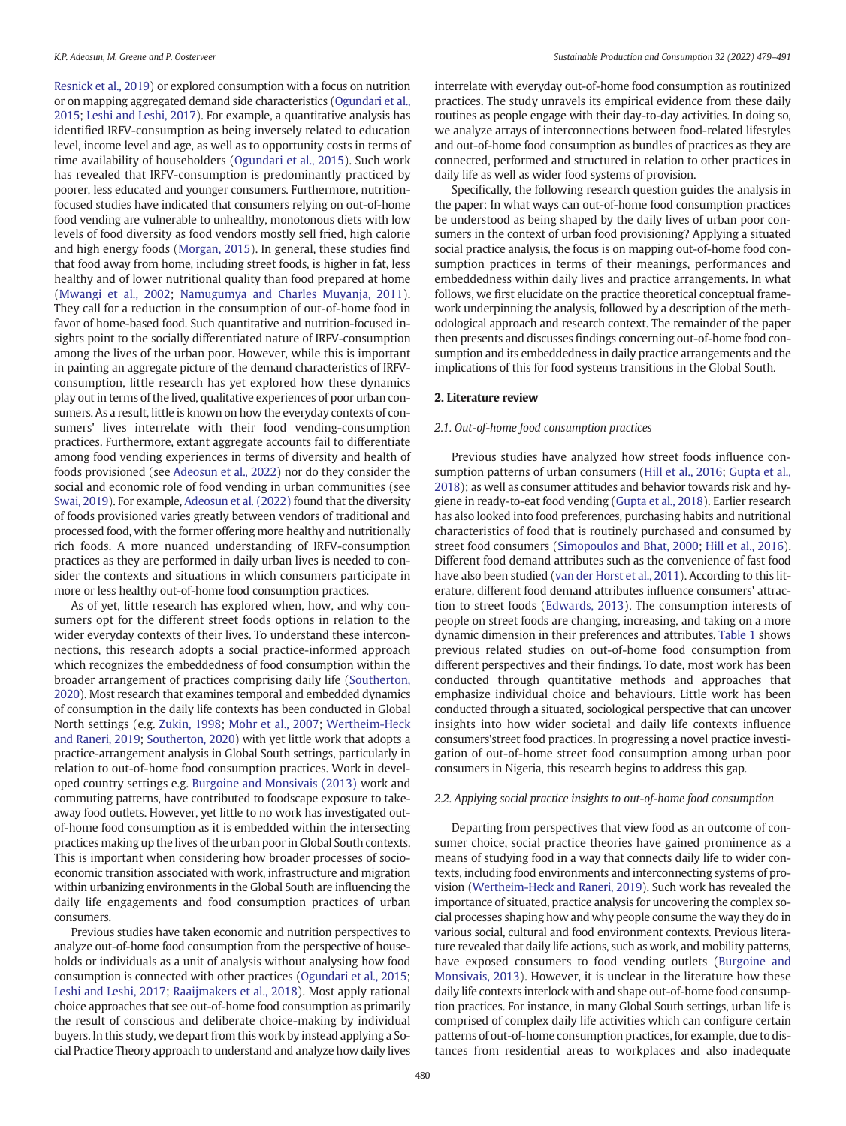[Resnick et al., 2019](#page-12-0)) or explored consumption with a focus on nutrition or on mapping aggregated demand side characteristics [\(Ogundari et al.,](#page-12-0) [2015](#page-12-0); [Leshi and Leshi, 2017\)](#page-12-0). For example, a quantitative analysis has identified IRFV-consumption as being inversely related to education level, income level and age, as well as to opportunity costs in terms of time availability of householders [\(Ogundari et al., 2015](#page-12-0)). Such work has revealed that IRFV-consumption is predominantly practiced by poorer, less educated and younger consumers. Furthermore, nutritionfocused studies have indicated that consumers relying on out-of-home food vending are vulnerable to unhealthy, monotonous diets with low levels of food diversity as food vendors mostly sell fried, high calorie and high energy foods ([Morgan, 2015](#page-12-0)). In general, these studies find that food away from home, including street foods, is higher in fat, less healthy and of lower nutritional quality than food prepared at home ([Mwangi et al., 2002;](#page-12-0) [Namugumya and Charles Muyanja, 2011\)](#page-12-0). They call for a reduction in the consumption of out-of-home food in favor of home-based food. Such quantitative and nutrition-focused insights point to the socially differentiated nature of IRFV-consumption among the lives of the urban poor. However, while this is important in painting an aggregate picture of the demand characteristics of IRFVconsumption, little research has yet explored how these dynamics play out in terms of the lived, qualitative experiences of poor urban consumers. As a result, little is known on how the everyday contexts of consumers' lives interrelate with their food vending-consumption practices. Furthermore, extant aggregate accounts fail to differentiate among food vending experiences in terms of diversity and health of foods provisioned (see [Adeosun et al., 2022\)](#page-12-0) nor do they consider the social and economic role of food vending in urban communities (see [Swai, 2019](#page-12-0)). For example, [Adeosun et al. \(2022\)](#page-12-0) found that the diversity of foods provisioned varies greatly between vendors of traditional and processed food, with the former offering more healthy and nutritionally rich foods. A more nuanced understanding of IRFV-consumption practices as they are performed in daily urban lives is needed to consider the contexts and situations in which consumers participate in more or less healthy out-of-home food consumption practices.

As of yet, little research has explored when, how, and why consumers opt for the different street foods options in relation to the wider everyday contexts of their lives. To understand these interconnections, this research adopts a social practice-informed approach which recognizes the embeddedness of food consumption within the broader arrangement of practices comprising daily life [\(Southerton,](#page-12-0) [2020\)](#page-12-0). Most research that examines temporal and embedded dynamics of consumption in the daily life contexts has been conducted in Global North settings (e.g. [Zukin, 1998;](#page-12-0) [Mohr et al., 2007;](#page-12-0) [Wertheim-Heck](#page-12-0) [and Raneri, 2019;](#page-12-0) [Southerton, 2020](#page-12-0)) with yet little work that adopts a practice-arrangement analysis in Global South settings, particularly in relation to out-of-home food consumption practices. Work in developed country settings e.g. [Burgoine and Monsivais \(2013\)](#page-12-0) work and commuting patterns, have contributed to foodscape exposure to takeaway food outlets. However, yet little to no work has investigated outof-home food consumption as it is embedded within the intersecting practices making up the lives of the urban poor in Global South contexts. This is important when considering how broader processes of socioeconomic transition associated with work, infrastructure and migration within urbanizing environments in the Global South are influencing the daily life engagements and food consumption practices of urban consumers.

Previous studies have taken economic and nutrition perspectives to analyze out-of-home food consumption from the perspective of households or individuals as a unit of analysis without analysing how food consumption is connected with other practices ([Ogundari et al., 2015](#page-12-0); [Leshi and Leshi, 2017;](#page-12-0) [Raaijmakers et al., 2018\)](#page-12-0). Most apply rational choice approaches that see out-of-home food consumption as primarily the result of conscious and deliberate choice-making by individual buyers. In this study, we depart from this work by instead applying a Social Practice Theory approach to understand and analyze how daily lives interrelate with everyday out-of-home food consumption as routinized practices. The study unravels its empirical evidence from these daily routines as people engage with their day-to-day activities. In doing so, we analyze arrays of interconnections between food-related lifestyles and out-of-home food consumption as bundles of practices as they are connected, performed and structured in relation to other practices in daily life as well as wider food systems of provision.

Specifically, the following research question guides the analysis in the paper: In what ways can out-of-home food consumption practices be understood as being shaped by the daily lives of urban poor consumers in the context of urban food provisioning? Applying a situated social practice analysis, the focus is on mapping out-of-home food consumption practices in terms of their meanings, performances and embeddedness within daily lives and practice arrangements. In what follows, we first elucidate on the practice theoretical conceptual framework underpinning the analysis, followed by a description of the methodological approach and research context. The remainder of the paper then presents and discusses findings concerning out-of-home food consumption and its embeddedness in daily practice arrangements and the implications of this for food systems transitions in the Global South.

## 2. Literature review

#### 2.1. Out-of-home food consumption practices

Previous studies have analyzed how street foods influence consumption patterns of urban consumers ([Hill et al., 2016;](#page-12-0) [Gupta et al.,](#page-12-0) [2018\)](#page-12-0); as well as consumer attitudes and behavior towards risk and hygiene in ready-to-eat food vending ([Gupta et al., 2018](#page-12-0)). Earlier research has also looked into food preferences, purchasing habits and nutritional characteristics of food that is routinely purchased and consumed by street food consumers ([Simopoulos and Bhat, 2000;](#page-12-0) [Hill et al., 2016\)](#page-12-0). Different food demand attributes such as the convenience of fast food have also been studied [\(van der Horst et al., 2011](#page-12-0)). According to this literature, different food demand attributes influence consumers' attraction to street foods [\(Edwards, 2013](#page-12-0)). The consumption interests of people on street foods are changing, increasing, and taking on a more dynamic dimension in their preferences and attributes. [Table 1](#page-2-0) shows previous related studies on out-of-home food consumption from different perspectives and their findings. To date, most work has been conducted through quantitative methods and approaches that emphasize individual choice and behaviours. Little work has been conducted through a situated, sociological perspective that can uncover insights into how wider societal and daily life contexts influence consumers'street food practices. In progressing a novel practice investigation of out-of-home street food consumption among urban poor consumers in Nigeria, this research begins to address this gap.

## 2.2. Applying social practice insights to out-of-home food consumption

Departing from perspectives that view food as an outcome of consumer choice, social practice theories have gained prominence as a means of studying food in a way that connects daily life to wider contexts, including food environments and interconnecting systems of provision ([Wertheim-Heck and Raneri, 2019](#page-12-0)). Such work has revealed the importance of situated, practice analysis for uncovering the complex social processes shaping how and why people consume the way they do in various social, cultural and food environment contexts. Previous literature revealed that daily life actions, such as work, and mobility patterns, have exposed consumers to food vending outlets [\(Burgoine and](#page-12-0) [Monsivais, 2013](#page-12-0)). However, it is unclear in the literature how these daily life contexts interlock with and shape out-of-home food consumption practices. For instance, in many Global South settings, urban life is comprised of complex daily life activities which can configure certain patterns of out-of-home consumption practices, for example, due to distances from residential areas to workplaces and also inadequate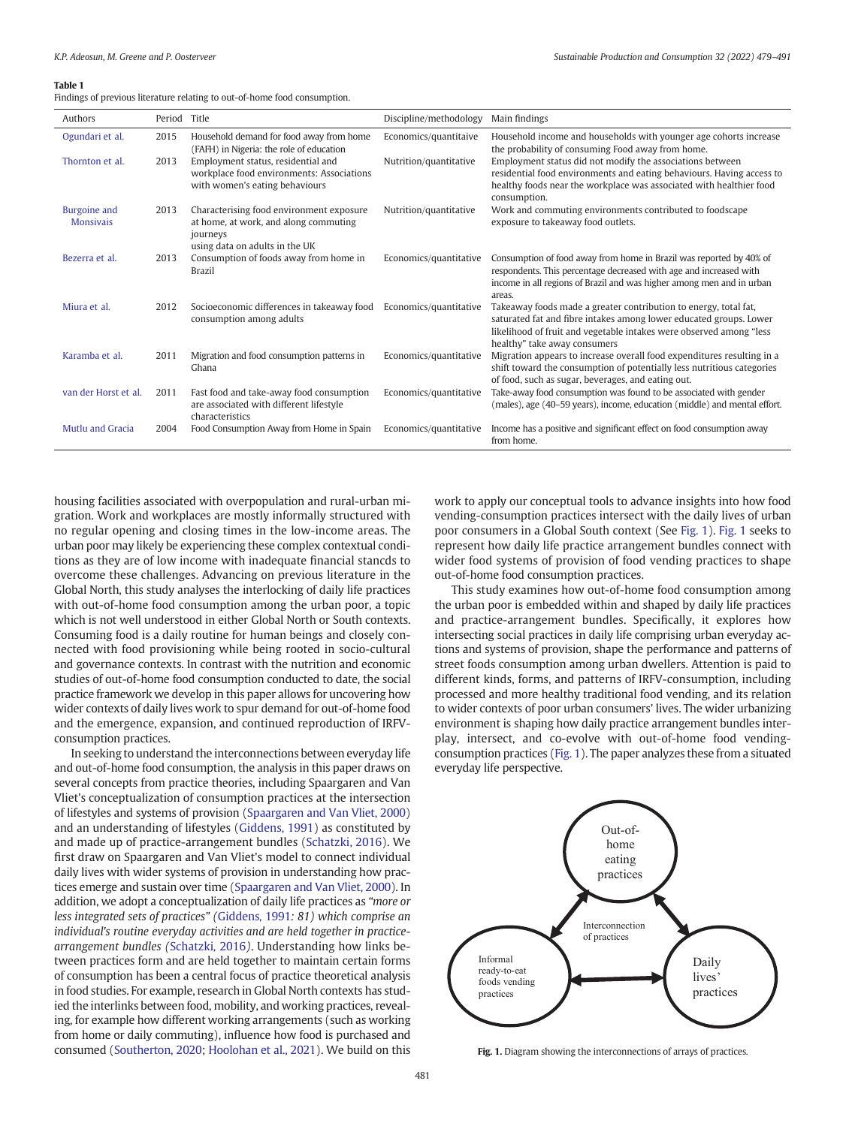#### <span id="page-2-0"></span>Table 1

Findings of previous literature relating to out-of-home food consumption.

| Authors                          | Period Title |                                                                                                                                 | Discipline/methodology | Main findings                                                                                                                                                                                                                                 |
|----------------------------------|--------------|---------------------------------------------------------------------------------------------------------------------------------|------------------------|-----------------------------------------------------------------------------------------------------------------------------------------------------------------------------------------------------------------------------------------------|
| Ogundari et al.                  | 2015         | Household demand for food away from home<br>(FAFH) in Nigeria: the role of education                                            | Economics/quantitaive  | Household income and households with younger age cohorts increase<br>the probability of consuming Food away from home.                                                                                                                        |
| Thornton et al.                  | 2013         | Employment status, residential and<br>workplace food environments: Associations<br>with women's eating behaviours               | Nutrition/quantitative | Employment status did not modify the associations between<br>residential food environments and eating behaviours. Having access to<br>healthy foods near the workplace was associated with healthier food<br>consumption.                     |
| Burgoine and<br><b>Monsivais</b> | 2013         | Characterising food environment exposure<br>at home, at work, and along commuting<br>journeys<br>using data on adults in the UK | Nutrition/quantitative | Work and commuting environments contributed to foodscape<br>exposure to takeaway food outlets.                                                                                                                                                |
| Bezerra et al.                   | 2013         | Consumption of foods away from home in<br><b>Brazil</b>                                                                         | Economics/quantitative | Consumption of food away from home in Brazil was reported by 40% of<br>respondents. This percentage decreased with age and increased with<br>income in all regions of Brazil and was higher among men and in urban<br>areas.                  |
| Miura et al.                     | 2012         | Socioeconomic differences in takeaway food<br>consumption among adults                                                          | Economics/quantitative | Takeaway foods made a greater contribution to energy, total fat,<br>saturated fat and fibre intakes among lower educated groups. Lower<br>likelihood of fruit and vegetable intakes were observed among "less<br>healthy" take away consumers |
| Karamba et al.                   | 2011         | Migration and food consumption patterns in<br>Ghana                                                                             | Economics/quantitative | Migration appears to increase overall food expenditures resulting in a<br>shift toward the consumption of potentially less nutritious categories<br>of food, such as sugar, beverages, and eating out.                                        |
| van der Horst et al.             | 2011         | Fast food and take-away food consumption<br>are associated with different lifestyle<br>characteristics                          | Economics/quantitative | Take-away food consumption was found to be associated with gender<br>(males), age (40–59 years), income, education (middle) and mental effort.                                                                                                |
| <b>Mutlu and Gracia</b>          | 2004         | Food Consumption Away from Home in Spain                                                                                        | Economics/quantitative | Income has a positive and significant effect on food consumption away<br>from home.                                                                                                                                                           |

housing facilities associated with overpopulation and rural-urban migration. Work and workplaces are mostly informally structured with no regular opening and closing times in the low-income areas. The urban poor may likely be experiencing these complex contextual conditions as they are of low income with inadequate financial stancds to overcome these challenges. Advancing on previous literature in the Global North, this study analyses the interlocking of daily life practices with out-of-home food consumption among the urban poor, a topic which is not well understood in either Global North or South contexts. Consuming food is a daily routine for human beings and closely connected with food provisioning while being rooted in socio-cultural and governance contexts. In contrast with the nutrition and economic studies of out-of-home food consumption conducted to date, the social practice framework we develop in this paper allows for uncovering how wider contexts of daily lives work to spur demand for out-of-home food and the emergence, expansion, and continued reproduction of IRFVconsumption practices.

In seeking to understand the interconnections between everyday life and out-of-home food consumption, the analysis in this paper draws on several concepts from practice theories, including Spaargaren and Van Vliet's conceptualization of consumption practices at the intersection of lifestyles and systems of provision [\(Spaargaren and Van Vliet, 2000\)](#page-12-0) and an understanding of lifestyles [\(Giddens, 1991\)](#page-12-0) as constituted by and made up of practice-arrangement bundles ([Schatzki, 2016\)](#page-12-0). We first draw on Spaargaren and Van Vliet's model to connect individual daily lives with wider systems of provision in understanding how practices emerge and sustain over time [\(Spaargaren and Van Vliet, 2000](#page-12-0)). In addition, we adopt a conceptualization of daily life practices as "more or less integrated sets of practices" ([Giddens](#page-12-0), 1991: 81) which comprise an individual's routine everyday activities and are held together in practicearrangement bundles ([Schatzki](#page-12-0), 2016). Understanding how links between practices form and are held together to maintain certain forms of consumption has been a central focus of practice theoretical analysis in food studies. For example, research in Global North contexts has studied the interlinks between food, mobility, and working practices, revealing, for example how different working arrangements (such as working from home or daily commuting), influence how food is purchased and consumed ([Southerton, 2020](#page-12-0); [Hoolohan et al., 2021](#page-12-0)). We build on this

work to apply our conceptual tools to advance insights into how food vending-consumption practices intersect with the daily lives of urban poor consumers in a Global South context (See Fig. 1). Fig. 1 seeks to represent how daily life practice arrangement bundles connect with wider food systems of provision of food vending practices to shape out-of-home food consumption practices.

This study examines how out-of-home food consumption among the urban poor is embedded within and shaped by daily life practices and practice-arrangement bundles. Specifically, it explores how intersecting social practices in daily life comprising urban everyday actions and systems of provision, shape the performance and patterns of street foods consumption among urban dwellers. Attention is paid to different kinds, forms, and patterns of IRFV-consumption, including processed and more healthy traditional food vending, and its relation to wider contexts of poor urban consumers' lives. The wider urbanizing environment is shaping how daily practice arrangement bundles interplay, intersect, and co-evolve with out-of-home food vendingconsumption practices (Fig. 1). The paper analyzes these from a situated everyday life perspective.



Fig. 1. Diagram showing the interconnections of arrays of practices.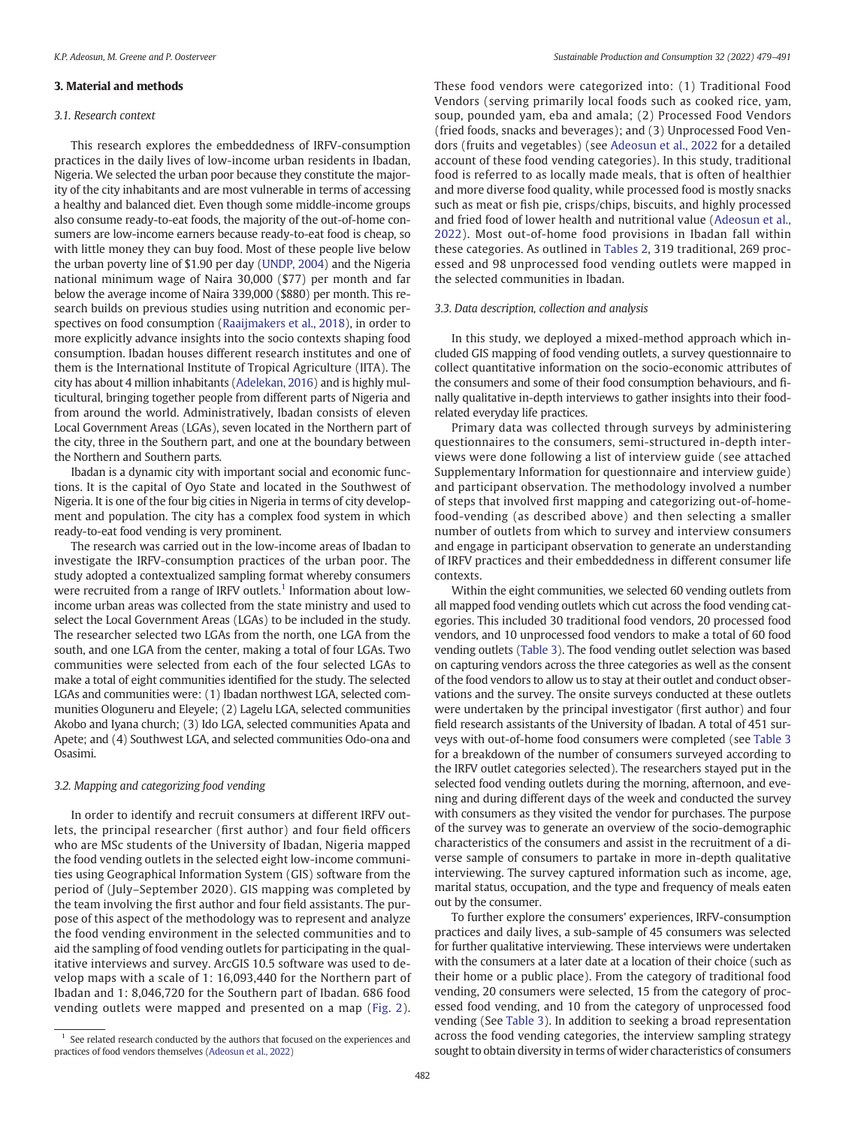### 3. Material and methods

#### 3.1. Research context

This research explores the embeddedness of IRFV-consumption practices in the daily lives of low-income urban residents in Ibadan, Nigeria. We selected the urban poor because they constitute the majority of the city inhabitants and are most vulnerable in terms of accessing a healthy and balanced diet. Even though some middle-income groups also consume ready-to-eat foods, the majority of the out-of-home consumers are low-income earners because ready-to-eat food is cheap, so with little money they can buy food. Most of these people live below the urban poverty line of \$1.90 per day ([UNDP, 2004](#page-12-0)) and the Nigeria national minimum wage of Naira 30,000 (\$77) per month and far below the average income of Naira 339,000 (\$880) per month. This research builds on previous studies using nutrition and economic perspectives on food consumption ([Raaijmakers et al., 2018\)](#page-12-0), in order to more explicitly advance insights into the socio contexts shaping food consumption. Ibadan houses different research institutes and one of them is the International Institute of Tropical Agriculture (IITA). The city has about 4 million inhabitants [\(Adelekan, 2016\)](#page-12-0) and is highly multicultural, bringing together people from different parts of Nigeria and from around the world. Administratively, Ibadan consists of eleven Local Government Areas (LGAs), seven located in the Northern part of the city, three in the Southern part, and one at the boundary between the Northern and Southern parts.

Ibadan is a dynamic city with important social and economic functions. It is the capital of Oyo State and located in the Southwest of Nigeria. It is one of the four big cities in Nigeria in terms of city development and population. The city has a complex food system in which ready-to-eat food vending is very prominent.

The research was carried out in the low-income areas of Ibadan to investigate the IRFV-consumption practices of the urban poor. The study adopted a contextualized sampling format whereby consumers were recruited from a range of IRFV outlets.<sup>1</sup> Information about lowincome urban areas was collected from the state ministry and used to select the Local Government Areas (LGAs) to be included in the study. The researcher selected two LGAs from the north, one LGA from the south, and one LGA from the center, making a total of four LGAs. Two communities were selected from each of the four selected LGAs to make a total of eight communities identified for the study. The selected LGAs and communities were: (1) Ibadan northwest LGA, selected communities Ologuneru and Eleyele; (2) Lagelu LGA, selected communities Akobo and Iyana church; (3) Ido LGA, selected communities Apata and Apete; and (4) Southwest LGA, and selected communities Odo-ona and Osasimi.

#### 3.2. Mapping and categorizing food vending

In order to identify and recruit consumers at different IRFV outlets, the principal researcher (first author) and four field officers who are MSc students of the University of Ibadan, Nigeria mapped the food vending outlets in the selected eight low-income communities using Geographical Information System (GIS) software from the period of (July–September 2020). GIS mapping was completed by the team involving the first author and four field assistants. The purpose of this aspect of the methodology was to represent and analyze the food vending environment in the selected communities and to aid the sampling of food vending outlets for participating in the qualitative interviews and survey. ArcGIS 10.5 software was used to develop maps with a scale of 1: 16,093,440 for the Northern part of Ibadan and 1: 8,046,720 for the Southern part of Ibadan. 686 food vending outlets were mapped and presented on a map ([Fig. 2\)](#page-4-0).

These food vendors were categorized into: (1) Traditional Food Vendors (serving primarily local foods such as cooked rice, yam, soup, pounded yam, eba and amala; (2) Processed Food Vendors (fried foods, snacks and beverages); and (3) Unprocessed Food Vendors (fruits and vegetables) (see [Adeosun et al., 2022](#page-12-0) for a detailed account of these food vending categories). In this study, traditional food is referred to as locally made meals, that is often of healthier and more diverse food quality, while processed food is mostly snacks such as meat or fish pie, crisps/chips, biscuits, and highly processed and fried food of lower health and nutritional value ([Adeosun et al.,](#page-12-0) [2022](#page-12-0)). Most out-of-home food provisions in Ibadan fall within these categories. As outlined in [Tables 2](#page-5-0), 319 traditional, 269 processed and 98 unprocessed food vending outlets were mapped in the selected communities in Ibadan.

#### 3.3. Data description, collection and analysis

In this study, we deployed a mixed-method approach which included GIS mapping of food vending outlets, a survey questionnaire to collect quantitative information on the socio-economic attributes of the consumers and some of their food consumption behaviours, and finally qualitative in-depth interviews to gather insights into their foodrelated everyday life practices.

Primary data was collected through surveys by administering questionnaires to the consumers, semi-structured in-depth interviews were done following a list of interview guide (see attached Supplementary Information for questionnaire and interview guide) and participant observation. The methodology involved a number of steps that involved first mapping and categorizing out-of-homefood-vending (as described above) and then selecting a smaller number of outlets from which to survey and interview consumers and engage in participant observation to generate an understanding of IRFV practices and their embeddedness in different consumer life contexts.

Within the eight communities, we selected 60 vending outlets from all mapped food vending outlets which cut across the food vending categories. This included 30 traditional food vendors, 20 processed food vendors, and 10 unprocessed food vendors to make a total of 60 food vending outlets ([Table 3](#page-5-0)). The food vending outlet selection was based on capturing vendors across the three categories as well as the consent of the food vendors to allow us to stay at their outlet and conduct observations and the survey. The onsite surveys conducted at these outlets were undertaken by the principal investigator (first author) and four field research assistants of the University of Ibadan. A total of 451 surveys with out-of-home food consumers were completed (see [Table 3](#page-5-0) for a breakdown of the number of consumers surveyed according to the IRFV outlet categories selected). The researchers stayed put in the selected food vending outlets during the morning, afternoon, and evening and during different days of the week and conducted the survey with consumers as they visited the vendor for purchases. The purpose of the survey was to generate an overview of the socio-demographic characteristics of the consumers and assist in the recruitment of a diverse sample of consumers to partake in more in-depth qualitative interviewing. The survey captured information such as income, age, marital status, occupation, and the type and frequency of meals eaten out by the consumer.

To further explore the consumers' experiences, IRFV-consumption practices and daily lives, a sub-sample of 45 consumers was selected for further qualitative interviewing. These interviews were undertaken with the consumers at a later date at a location of their choice (such as their home or a public place). From the category of traditional food vending, 20 consumers were selected, 15 from the category of processed food vending, and 10 from the category of unprocessed food vending (See [Table 3](#page-5-0)). In addition to seeking a broad representation across the food vending categories, the interview sampling strategy sought to obtain diversity in terms of wider characteristics of consumers

 $1$  See related research conducted by the authors that focused on the experiences and practices of food vendors themselves [\(Adeosun et al., 2022](#page-12-0))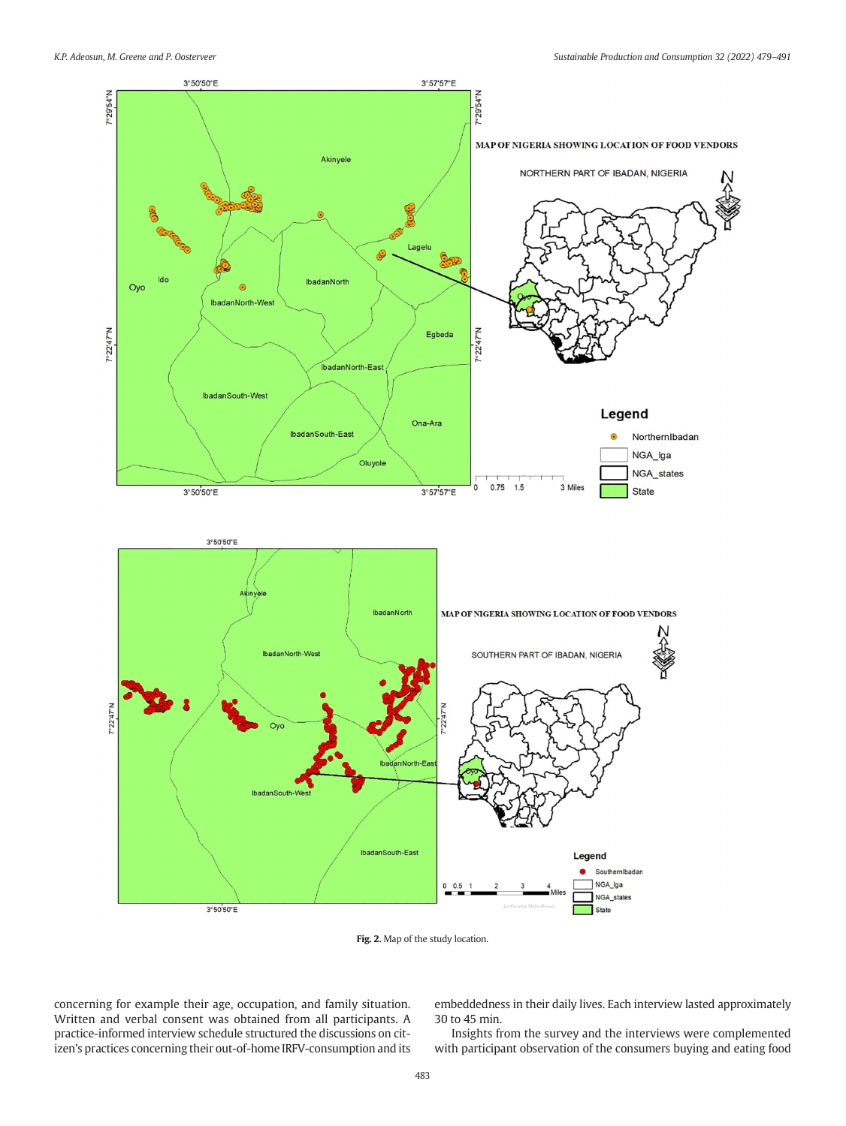<span id="page-4-0"></span>

Fig. 2. Map of the study location.

concerning for example their age, occupation, and family situation. Written and verbal consent was obtained from all participants. A practice-informed interview schedule structured the discussions on citizen's practices concerning their out-of-home IRFV-consumption and its embeddedness in their daily lives. Each interview lasted approximately 30 to 45 min.

Insights from the survey and the interviews were complemented with participant observation of the consumers buying and eating food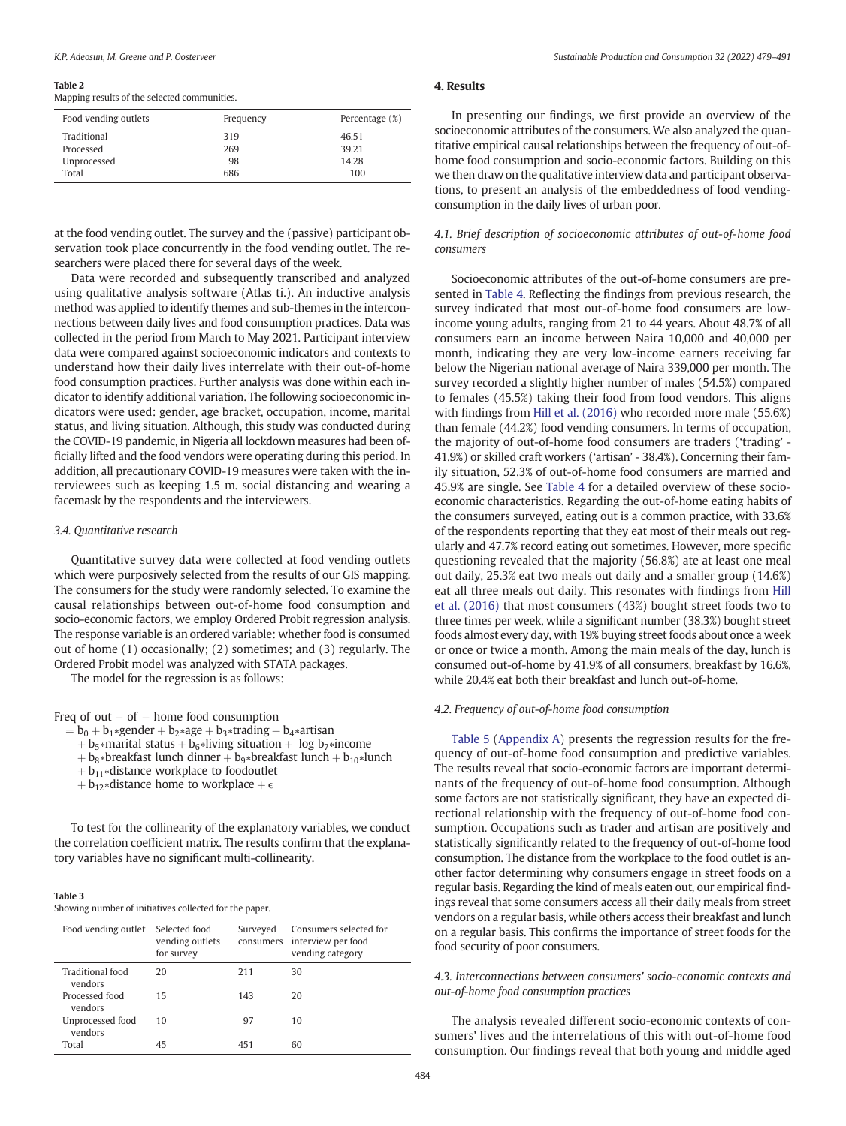#### <span id="page-5-0"></span>Table 2

Mapping results of the selected communities.

| Frequency | Percentage (%) |
|-----------|----------------|
| 319       | 46.51          |
| 269       | 39.21          |
| 98        | 14.28          |
| 686       | 100            |
|           |                |

at the food vending outlet. The survey and the (passive) participant observation took place concurrently in the food vending outlet. The researchers were placed there for several days of the week.

Data were recorded and subsequently transcribed and analyzed using qualitative analysis software (Atlas ti.). An inductive analysis method was applied to identify themes and sub-themes in the interconnections between daily lives and food consumption practices. Data was collected in the period from March to May 2021. Participant interview data were compared against socioeconomic indicators and contexts to understand how their daily lives interrelate with their out-of-home food consumption practices. Further analysis was done within each indicator to identify additional variation. The following socioeconomic indicators were used: gender, age bracket, occupation, income, marital status, and living situation. Although, this study was conducted during the COVID-19 pandemic, in Nigeria all lockdown measures had been officially lifted and the food vendors were operating during this period. In addition, all precautionary COVID-19 measures were taken with the interviewees such as keeping 1.5 m. social distancing and wearing a facemask by the respondents and the interviewers.

## 3.4. Quantitative research

Quantitative survey data were collected at food vending outlets which were purposively selected from the results of our GIS mapping. The consumers for the study were randomly selected. To examine the causal relationships between out-of-home food consumption and socio-economic factors, we employ Ordered Probit regression analysis. The response variable is an ordered variable: whether food is consumed out of home (1) occasionally; (2) sometimes; and (3) regularly. The Ordered Probit model was analyzed with STATA packages.

The model for the regression is as follows:

## Freq of out  $-$  of  $-$  home food consumption

- $= b_0 + b_1*$ gender +  $b_2*$ age +  $b_3*$ trading +  $b_4*$ artisan
	- + b<sub>5</sub>∗marital status + b<sub>6</sub>∗living situation + log b<sub>7</sub>∗income
	- + b<sub>8</sub>∗breakfast lunch dinner + b<sub>9</sub>∗breakfast lunch + b<sub>10</sub>∗lunch
	- $+ b_{11} *$ distance workplace to foodoutlet
	- $+$  b<sub>12</sub>∗distance home to workplace  $+ \epsilon$

To test for the collinearity of the explanatory variables, we conduct the correlation coefficient matrix. The results confirm that the explanatory variables have no significant multi-collinearity.

#### Table 3

Showing number of initiatives collected for the paper.

| Food vending outlet         | Selected food<br>vending outlets<br>for survey | Surveyed | Consumers selected for<br>consumers interview per food<br>vending category |
|-----------------------------|------------------------------------------------|----------|----------------------------------------------------------------------------|
| Traditional food<br>vendors | 20                                             | 211      | 30                                                                         |
| Processed food<br>vendors   | 15                                             | 143      | 20                                                                         |
| Unprocessed food<br>vendors | 10                                             | 97       | 10                                                                         |
| Total                       | 45                                             | 451      | 60                                                                         |

## 4. Results

In presenting our findings, we first provide an overview of the socioeconomic attributes of the consumers. We also analyzed the quantitative empirical causal relationships between the frequency of out-ofhome food consumption and socio-economic factors. Building on this we then draw on the qualitative interview data and participant observations, to present an analysis of the embeddedness of food vendingconsumption in the daily lives of urban poor.

## 4.1. Brief description of socioeconomic attributes of out-of-home food consumers

Socioeconomic attributes of the out-of-home consumers are presented in [Table 4](#page-6-0). Reflecting the findings from previous research, the survey indicated that most out-of-home food consumers are lowincome young adults, ranging from 21 to 44 years. About 48.7% of all consumers earn an income between Naira 10,000 and 40,000 per month, indicating they are very low-income earners receiving far below the Nigerian national average of Naira 339,000 per month. The survey recorded a slightly higher number of males (54.5%) compared to females (45.5%) taking their food from food vendors. This aligns with findings from [Hill et al. \(2016\)](#page-12-0) who recorded more male (55.6%) than female (44.2%) food vending consumers. In terms of occupation, the majority of out-of-home food consumers are traders ('trading' - 41.9%) or skilled craft workers ('artisan' - 38.4%). Concerning their family situation, 52.3% of out-of-home food consumers are married and 45.9% are single. See [Table 4](#page-6-0) for a detailed overview of these socioeconomic characteristics. Regarding the out-of-home eating habits of the consumers surveyed, eating out is a common practice, with 33.6% of the respondents reporting that they eat most of their meals out regularly and 47.7% record eating out sometimes. However, more specific questioning revealed that the majority (56.8%) ate at least one meal out daily, 25.3% eat two meals out daily and a smaller group (14.6%) eat all three meals out daily. This resonates with findings from [Hill](#page-12-0) [et al. \(2016\)](#page-12-0) that most consumers (43%) bought street foods two to three times per week, while a significant number (38.3%) bought street foods almost every day, with 19% buying street foods about once a week or once or twice a month. Among the main meals of the day, lunch is consumed out-of-home by 41.9% of all consumers, breakfast by 16.6%, while 20.4% eat both their breakfast and lunch out-of-home.

#### 4.2. Frequency of out-of-home food consumption

Table 5 ([Appendix A](#page-11-0)) presents the regression results for the frequency of out-of-home food consumption and predictive variables. The results reveal that socio-economic factors are important determinants of the frequency of out-of-home food consumption. Although some factors are not statistically significant, they have an expected directional relationship with the frequency of out-of-home food consumption. Occupations such as trader and artisan are positively and statistically significantly related to the frequency of out-of-home food consumption. The distance from the workplace to the food outlet is another factor determining why consumers engage in street foods on a regular basis. Regarding the kind of meals eaten out, our empirical findings reveal that some consumers access all their daily meals from street vendors on a regular basis, while others access their breakfast and lunch on a regular basis. This confirms the importance of street foods for the food security of poor consumers.

## 4.3. Interconnections between consumers' socio-economic contexts and out-of-home food consumption practices

The analysis revealed different socio-economic contexts of consumers' lives and the interrelations of this with out-of-home food consumption. Our findings reveal that both young and middle aged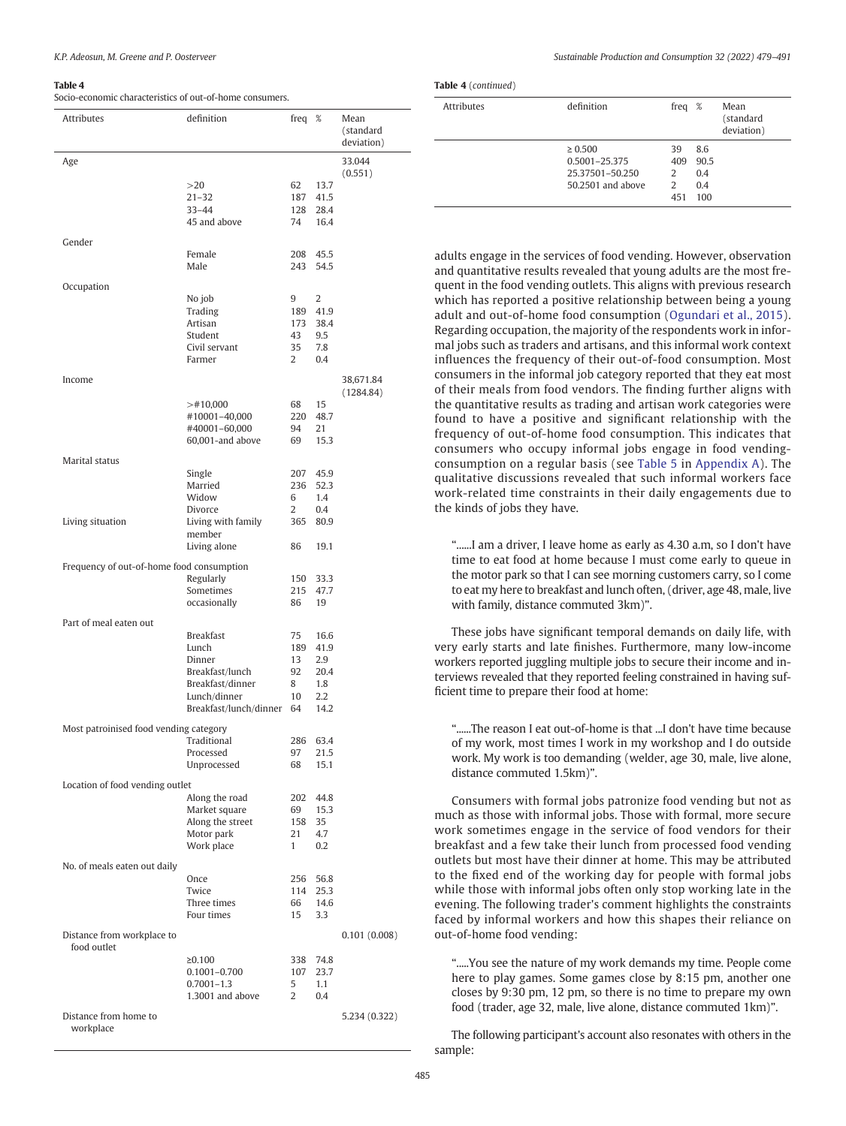#### Table 4

Socio-economic characteristics of out-of-home consumers.

| <b>Attributes</b>                         | definition                        | freq         | - %         | Mean<br>(standard<br>deviation) |
|-------------------------------------------|-----------------------------------|--------------|-------------|---------------------------------|
| Age                                       |                                   |              |             | 33.044                          |
|                                           |                                   |              |             | (0.551)                         |
|                                           | >20                               | 62           | 13.7        |                                 |
|                                           | $21 - 32$<br>$33 - 44$            | 187          | 41.5        |                                 |
|                                           |                                   | 128          | 28.4        |                                 |
|                                           | 45 and above                      | 74           | 16.4        |                                 |
| Gender                                    |                                   |              |             |                                 |
|                                           | Female                            | 208          | 45.5        |                                 |
|                                           | Male                              | 243          | 54.5        |                                 |
|                                           |                                   |              |             |                                 |
| Occupation                                | No job                            | 9            | 2           |                                 |
|                                           | Trading                           | 189          | 41.9        |                                 |
|                                           | Artisan                           | 173          | 38.4        |                                 |
|                                           | Student                           | 43           | 9.5         |                                 |
|                                           | Civil servant                     | 35           | 7.8         |                                 |
|                                           | Farmer                            | 2            | 0.4         |                                 |
|                                           |                                   |              |             |                                 |
| Income                                    |                                   |              |             | 38,671.84                       |
|                                           |                                   |              |             | (1284.84)                       |
|                                           | $>$ #10,000                       | 68           | 15          |                                 |
|                                           | #10001-40,000                     | 220          | 48.7        |                                 |
|                                           | #40001-60,000<br>60,001-and above | 94           | 21<br>15.3  |                                 |
|                                           |                                   | 69           |             |                                 |
| Marital status                            |                                   |              |             |                                 |
|                                           | Single                            | 207          | 45.9        |                                 |
|                                           | Married                           | 236          | 52.3        |                                 |
|                                           | Widow                             | 6            | 1.4         |                                 |
|                                           | Divorce                           | 2            | 0.4         |                                 |
| Living situation                          | Living with family                | 365          | 80.9        |                                 |
|                                           | member                            |              |             |                                 |
|                                           | Living alone                      | 86           | 19.1        |                                 |
| Frequency of out-of-home food consumption |                                   |              |             |                                 |
|                                           | Regularly                         | 150          | 33.3        |                                 |
|                                           | Sometimes                         | 215          | 47.7        |                                 |
|                                           | occasionally                      | 86           | 19          |                                 |
|                                           |                                   |              |             |                                 |
| Part of meal eaten out                    |                                   |              |             |                                 |
|                                           | <b>Breakfast</b>                  | 75           | 16.6        |                                 |
|                                           | Lunch<br>Dinner                   | 189<br>13    | 41.9<br>2.9 |                                 |
|                                           | Breakfast/lunch                   | 92           | 20.4        |                                 |
|                                           | Breakfast/dinner                  | 8            | 1.8         |                                 |
|                                           | Lunch/dinner                      | 10           | 2.2         |                                 |
|                                           | Breakfast/lunch/dinner            | 64           | 14.2        |                                 |
|                                           |                                   |              |             |                                 |
| Most patroinised food vending category    |                                   |              |             |                                 |
|                                           | Traditional                       | 286          | 63.4        |                                 |
|                                           | Processed                         | 97           | 21.5        |                                 |
|                                           | Unprocessed                       | 68           | 15.1        |                                 |
| Location of food vending outlet           |                                   |              |             |                                 |
|                                           | Along the road                    | 202          | 44.8        |                                 |
|                                           | Market square                     | 69           | 15.3        |                                 |
|                                           | Along the street                  | 158          | 35          |                                 |
|                                           | Motor park                        | 21           | 4.7         |                                 |
|                                           | Work place                        | $\mathbf{1}$ | 0.2         |                                 |
|                                           |                                   |              |             |                                 |
| No. of meals eaten out daily              | Once                              | 256          | 56.8        |                                 |
|                                           | Twice                             | 114          | 25.3        |                                 |
|                                           | Three times                       | 66           | 14.6        |                                 |
|                                           | Four times                        | 15           | 3.3         |                                 |
|                                           |                                   |              |             |                                 |
| Distance from workplace to                |                                   |              |             | 0.101(0.008)                    |
| food outlet                               |                                   |              |             |                                 |
|                                           | $\ge 0.100$                       | 338          | 74.8        |                                 |
|                                           | 0.1001-0.700                      | 107          | 23.7        |                                 |
|                                           | $0.7001 - 1.3$                    | 5            | 1.1         |                                 |
|                                           | 1.3001 and above                  | 2            | 0.4         |                                 |
| Distance from home to                     |                                   |              |             | 5.234 (0.322)                   |
| workplace                                 |                                   |              |             |                                 |
|                                           |                                   |              |             |                                 |

<span id="page-6-0"></span>K.P. Adeosun, M. Greene and P. Oosterveer Sustainable Production and Consumption 32 (2022) 479–491

Table 4 (continued)

| <b>Attributes</b> | definition                                                            | freq                       | %                                | Mean<br>(standard<br>deviation) |
|-------------------|-----------------------------------------------------------------------|----------------------------|----------------------------------|---------------------------------|
|                   | $\geq 0.500$<br>0.5001-25.375<br>25.37501-50.250<br>50.2501 and above | 39<br>409<br>2<br>2<br>451 | 8.6<br>90.5<br>0.4<br>0.4<br>100 |                                 |

adults engage in the services of food vending. However, observation and quantitative results revealed that young adults are the most frequent in the food vending outlets. This aligns with previous research which has reported a positive relationship between being a young adult and out-of-home food consumption ([Ogundari et al., 2015\)](#page-12-0). Regarding occupation, the majority of the respondents work in informal jobs such as traders and artisans, and this informal work context influences the frequency of their out-of-food consumption. Most consumers in the informal job category reported that they eat most of their meals from food vendors. The finding further aligns with the quantitative results as trading and artisan work categories were found to have a positive and significant relationship with the frequency of out-of-home food consumption. This indicates that consumers who occupy informal jobs engage in food vendingconsumption on a regular basis (see Table 5 in [Appendix A\)](#page-11-0). The qualitative discussions revealed that such informal workers face work-related time constraints in their daily engagements due to the kinds of jobs they have.

"......I am a driver, I leave home as early as 4.30 a.m, so I don't have time to eat food at home because I must come early to queue in the motor park so that I can see morning customers carry, so I come to eat my here to breakfast and lunch often, (driver, age 48, male, live with family, distance commuted 3km)".

These jobs have significant temporal demands on daily life, with very early starts and late finishes. Furthermore, many low-income workers reported juggling multiple jobs to secure their income and interviews revealed that they reported feeling constrained in having sufficient time to prepare their food at home:

"......The reason I eat out-of-home is that ...I don't have time because of my work, most times I work in my workshop and I do outside work. My work is too demanding (welder, age 30, male, live alone, distance commuted 1.5km)".

Consumers with formal jobs patronize food vending but not as much as those with informal jobs. Those with formal, more secure work sometimes engage in the service of food vendors for their breakfast and a few take their lunch from processed food vending outlets but most have their dinner at home. This may be attributed to the fixed end of the working day for people with formal jobs while those with informal jobs often only stop working late in the evening. The following trader's comment highlights the constraints faced by informal workers and how this shapes their reliance on out-of-home food vending:

".....You see the nature of my work demands my time. People come here to play games. Some games close by 8:15 pm, another one closes by 9:30 pm, 12 pm, so there is no time to prepare my own food (trader, age 32, male, live alone, distance commuted 1km)".

The following participant's account also resonates with others in the sample: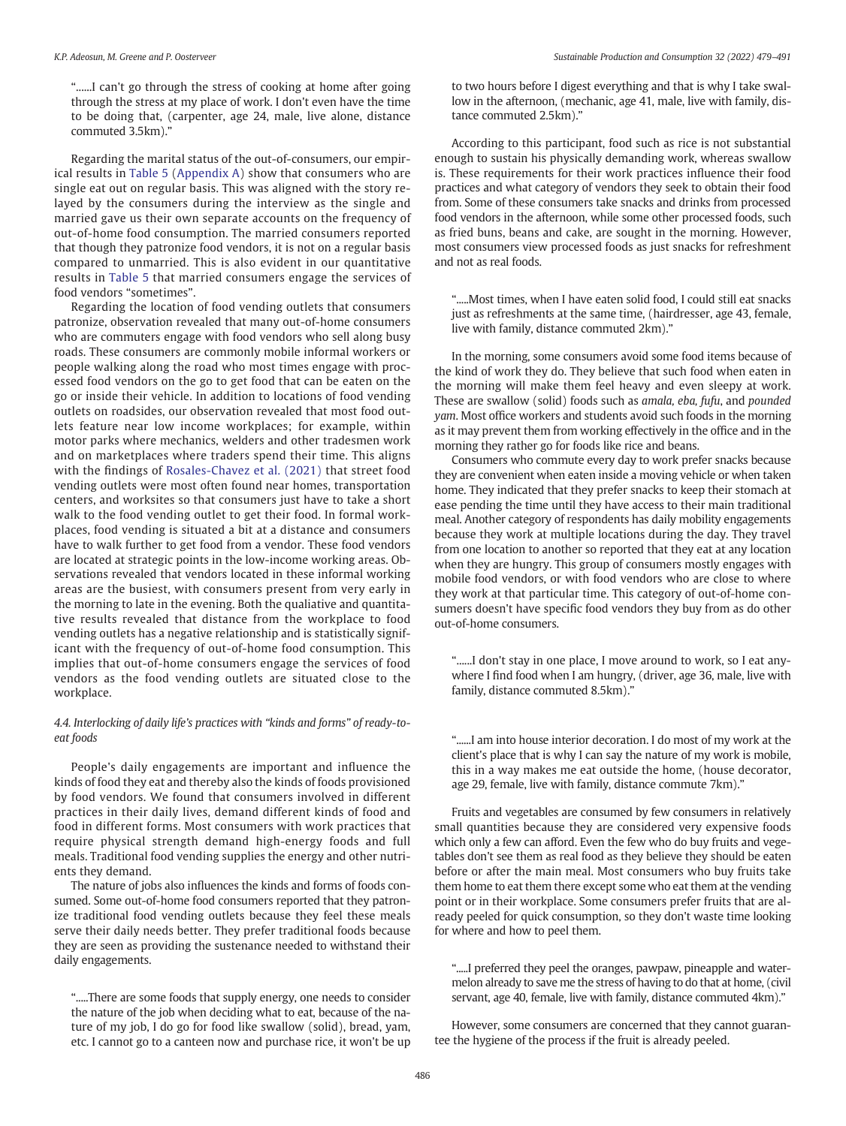".......I can't go through the stress of cooking at home after going through the stress at my place of work. I don't even have the time to be doing that, (carpenter, age 24, male, live alone, distance commuted 3.5km)."

Regarding the marital status of the out-of-consumers, our empirical results in Table 5 ([Appendix A\)](#page-11-0) show that consumers who are single eat out on regular basis. This was aligned with the story relayed by the consumers during the interview as the single and married gave us their own separate accounts on the frequency of out-of-home food consumption. The married consumers reported that though they patronize food vendors, it is not on a regular basis compared to unmarried. This is also evident in our quantitative results in Table 5 that married consumers engage the services of food vendors "sometimes".

Regarding the location of food vending outlets that consumers patronize, observation revealed that many out-of-home consumers who are commuters engage with food vendors who sell along busy roads. These consumers are commonly mobile informal workers or people walking along the road who most times engage with processed food vendors on the go to get food that can be eaten on the go or inside their vehicle. In addition to locations of food vending outlets on roadsides, our observation revealed that most food outlets feature near low income workplaces; for example, within motor parks where mechanics, welders and other tradesmen work and on marketplaces where traders spend their time. This aligns with the findings of [Rosales-Chavez et al. \(2021\)](#page-12-0) that street food vending outlets were most often found near homes, transportation centers, and worksites so that consumers just have to take a short walk to the food vending outlet to get their food. In formal workplaces, food vending is situated a bit at a distance and consumers have to walk further to get food from a vendor. These food vendors are located at strategic points in the low-income working areas. Observations revealed that vendors located in these informal working areas are the busiest, with consumers present from very early in the morning to late in the evening. Both the qualiative and quantitative results revealed that distance from the workplace to food vending outlets has a negative relationship and is statistically significant with the frequency of out-of-home food consumption. This implies that out-of-home consumers engage the services of food vendors as the food vending outlets are situated close to the workplace.

## 4.4. Interlocking of daily life's practices with "kinds and forms" of ready-toeat foods

People's daily engagements are important and influence the kinds of food they eat and thereby also the kinds of foods provisioned by food vendors. We found that consumers involved in different practices in their daily lives, demand different kinds of food and food in different forms. Most consumers with work practices that require physical strength demand high-energy foods and full meals. Traditional food vending supplies the energy and other nutrients they demand.

The nature of jobs also influences the kinds and forms of foods consumed. Some out-of-home food consumers reported that they patronize traditional food vending outlets because they feel these meals serve their daily needs better. They prefer traditional foods because they are seen as providing the sustenance needed to withstand their daily engagements.

".....There are some foods that supply energy, one needs to consider the nature of the job when deciding what to eat, because of the nature of my job, I do go for food like swallow (solid), bread, yam, etc. I cannot go to a canteen now and purchase rice, it won't be up

to two hours before I digest everything and that is why I take swallow in the afternoon, (mechanic, age 41, male, live with family, distance commuted 2.5km)."

According to this participant, food such as rice is not substantial enough to sustain his physically demanding work, whereas swallow is. These requirements for their work practices influence their food practices and what category of vendors they seek to obtain their food from. Some of these consumers take snacks and drinks from processed food vendors in the afternoon, while some other processed foods, such as fried buns, beans and cake, are sought in the morning. However, most consumers view processed foods as just snacks for refreshment and not as real foods.

".....Most times, when I have eaten solid food, I could still eat snacks just as refreshments at the same time, (hairdresser, age 43, female, live with family, distance commuted 2km)."

In the morning, some consumers avoid some food items because of the kind of work they do. They believe that such food when eaten in the morning will make them feel heavy and even sleepy at work. These are swallow (solid) foods such as amala, eba, fufu, and pounded yam. Most office workers and students avoid such foods in the morning as it may prevent them from working effectively in the office and in the morning they rather go for foods like rice and beans.

Consumers who commute every day to work prefer snacks because they are convenient when eaten inside a moving vehicle or when taken home. They indicated that they prefer snacks to keep their stomach at ease pending the time until they have access to their main traditional meal. Another category of respondents has daily mobility engagements because they work at multiple locations during the day. They travel from one location to another so reported that they eat at any location when they are hungry. This group of consumers mostly engages with mobile food vendors, or with food vendors who are close to where they work at that particular time. This category of out-of-home consumers doesn't have specific food vendors they buy from as do other out-of-home consumers.

"......I don't stay in one place, I move around to work, so I eat anywhere I find food when I am hungry, (driver, age 36, male, live with family, distance commuted 8.5km)."

"......I am into house interior decoration. I do most of my work at the client's place that is why I can say the nature of my work is mobile, this in a way makes me eat outside the home, (house decorator, age 29, female, live with family, distance commute 7km)."

Fruits and vegetables are consumed by few consumers in relatively small quantities because they are considered very expensive foods which only a few can afford. Even the few who do buy fruits and vegetables don't see them as real food as they believe they should be eaten before or after the main meal. Most consumers who buy fruits take them home to eat them there except some who eat them at the vending point or in their workplace. Some consumers prefer fruits that are already peeled for quick consumption, so they don't waste time looking for where and how to peel them.

".....I preferred they peel the oranges, pawpaw, pineapple and watermelon already to save me the stress of having to do that at home, (civil servant, age 40, female, live with family, distance commuted 4km)."

However, some consumers are concerned that they cannot guarantee the hygiene of the process if the fruit is already peeled.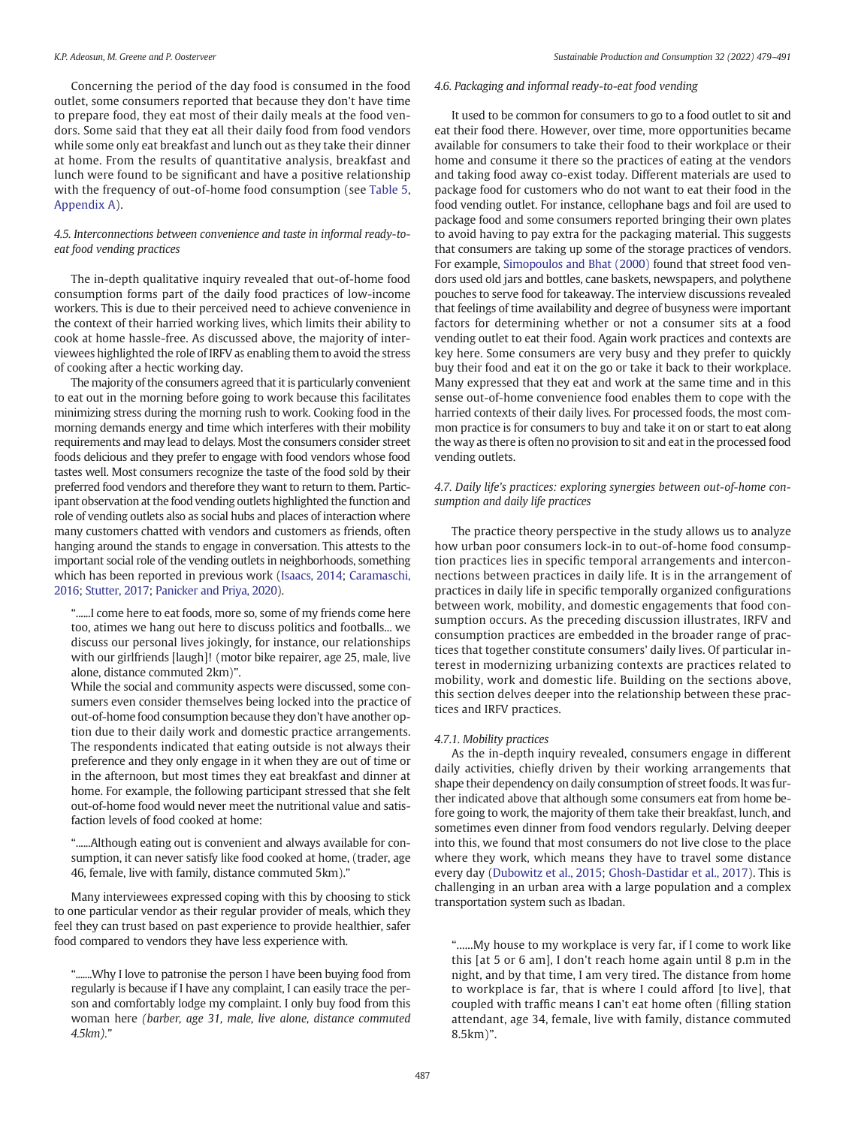Concerning the period of the day food is consumed in the food outlet, some consumers reported that because they don't have time to prepare food, they eat most of their daily meals at the food vendors. Some said that they eat all their daily food from food vendors while some only eat breakfast and lunch out as they take their dinner at home. From the results of quantitative analysis, breakfast and lunch were found to be significant and have a positive relationship with the frequency of out-of-home food consumption (see Table 5, [Appendix A](#page-11-0)).

## 4.5. Interconnections between convenience and taste in informal ready-toeat food vending practices

The in-depth qualitative inquiry revealed that out-of-home food consumption forms part of the daily food practices of low-income workers. This is due to their perceived need to achieve convenience in the context of their harried working lives, which limits their ability to cook at home hassle-free. As discussed above, the majority of interviewees highlighted the role of IRFV as enabling them to avoid the stress of cooking after a hectic working day.

The majority of the consumers agreed that it is particularly convenient to eat out in the morning before going to work because this facilitates minimizing stress during the morning rush to work. Cooking food in the morning demands energy and time which interferes with their mobility requirements and may lead to delays. Most the consumers consider street foods delicious and they prefer to engage with food vendors whose food tastes well. Most consumers recognize the taste of the food sold by their preferred food vendors and therefore they want to return to them. Participant observation at the food vending outlets highlighted the function and role of vending outlets also as social hubs and places of interaction where many customers chatted with vendors and customers as friends, often hanging around the stands to engage in conversation. This attests to the important social role of the vending outlets in neighborhoods, something which has been reported in previous work ([Isaacs, 2014](#page-12-0); [Caramaschi,](#page-12-0) [2016;](#page-12-0) [Stutter, 2017;](#page-12-0) [Panicker and Priya, 2020](#page-12-0)).

"......I come here to eat foods, more so, some of my friends come here too, atimes we hang out here to discuss politics and footballs... we discuss our personal lives jokingly, for instance, our relationships with our girlfriends [laugh]! (motor bike repairer, age 25, male, live alone, distance commuted 2km)".

While the social and community aspects were discussed, some consumers even consider themselves being locked into the practice of out-of-home food consumption because they don't have another option due to their daily work and domestic practice arrangements. The respondents indicated that eating outside is not always their preference and they only engage in it when they are out of time or in the afternoon, but most times they eat breakfast and dinner at home. For example, the following participant stressed that she felt out-of-home food would never meet the nutritional value and satisfaction levels of food cooked at home:

"......Although eating out is convenient and always available for consumption, it can never satisfy like food cooked at home, (trader, age 46, female, live with family, distance commuted 5km)."

Many interviewees expressed coping with this by choosing to stick to one particular vendor as their regular provider of meals, which they feel they can trust based on past experience to provide healthier, safer food compared to vendors they have less experience with.

".......Why I love to patronise the person I have been buying food from regularly is because if I have any complaint, I can easily trace the person and comfortably lodge my complaint. I only buy food from this woman here (barber, age 31, male, live alone, distance commuted 4.5km)."

## 4.6. Packaging and informal ready-to-eat food vending

It used to be common for consumers to go to a food outlet to sit and eat their food there. However, over time, more opportunities became available for consumers to take their food to their workplace or their home and consume it there so the practices of eating at the vendors and taking food away co-exist today. Different materials are used to package food for customers who do not want to eat their food in the food vending outlet. For instance, cellophane bags and foil are used to package food and some consumers reported bringing their own plates to avoid having to pay extra for the packaging material. This suggests that consumers are taking up some of the storage practices of vendors. For example, [Simopoulos and Bhat \(2000\)](#page-12-0) found that street food vendors used old jars and bottles, cane baskets, newspapers, and polythene pouches to serve food for takeaway. The interview discussions revealed that feelings of time availability and degree of busyness were important factors for determining whether or not a consumer sits at a food vending outlet to eat their food. Again work practices and contexts are key here. Some consumers are very busy and they prefer to quickly buy their food and eat it on the go or take it back to their workplace. Many expressed that they eat and work at the same time and in this sense out-of-home convenience food enables them to cope with the harried contexts of their daily lives. For processed foods, the most common practice is for consumers to buy and take it on or start to eat along the way as there is often no provision to sit and eat in the processed food vending outlets.

## 4.7. Daily life's practices: exploring synergies between out-of-home consumption and daily life practices

The practice theory perspective in the study allows us to analyze how urban poor consumers lock-in to out-of-home food consumption practices lies in specific temporal arrangements and interconnections between practices in daily life. It is in the arrangement of practices in daily life in specific temporally organized configurations between work, mobility, and domestic engagements that food consumption occurs. As the preceding discussion illustrates, IRFV and consumption practices are embedded in the broader range of practices that together constitute consumers' daily lives. Of particular interest in modernizing urbanizing contexts are practices related to mobility, work and domestic life. Building on the sections above, this section delves deeper into the relationship between these practices and IRFV practices.

### 4.7.1. Mobility practices

As the in-depth inquiry revealed, consumers engage in different daily activities, chiefly driven by their working arrangements that shape their dependency on daily consumption of street foods. It was further indicated above that although some consumers eat from home before going to work, the majority of them take their breakfast, lunch, and sometimes even dinner from food vendors regularly. Delving deeper into this, we found that most consumers do not live close to the place where they work, which means they have to travel some distance every day [\(Dubowitz et al., 2015;](#page-12-0) [Ghosh-Dastidar et al., 2017\)](#page-12-0). This is challenging in an urban area with a large population and a complex transportation system such as Ibadan.

"......My house to my workplace is very far, if I come to work like this [at 5 or 6 am], I don't reach home again until 8 p.m in the night, and by that time, I am very tired. The distance from home to workplace is far, that is where I could afford [to live], that coupled with traffic means I can't eat home often (filling station attendant, age 34, female, live with family, distance commuted 8.5km)".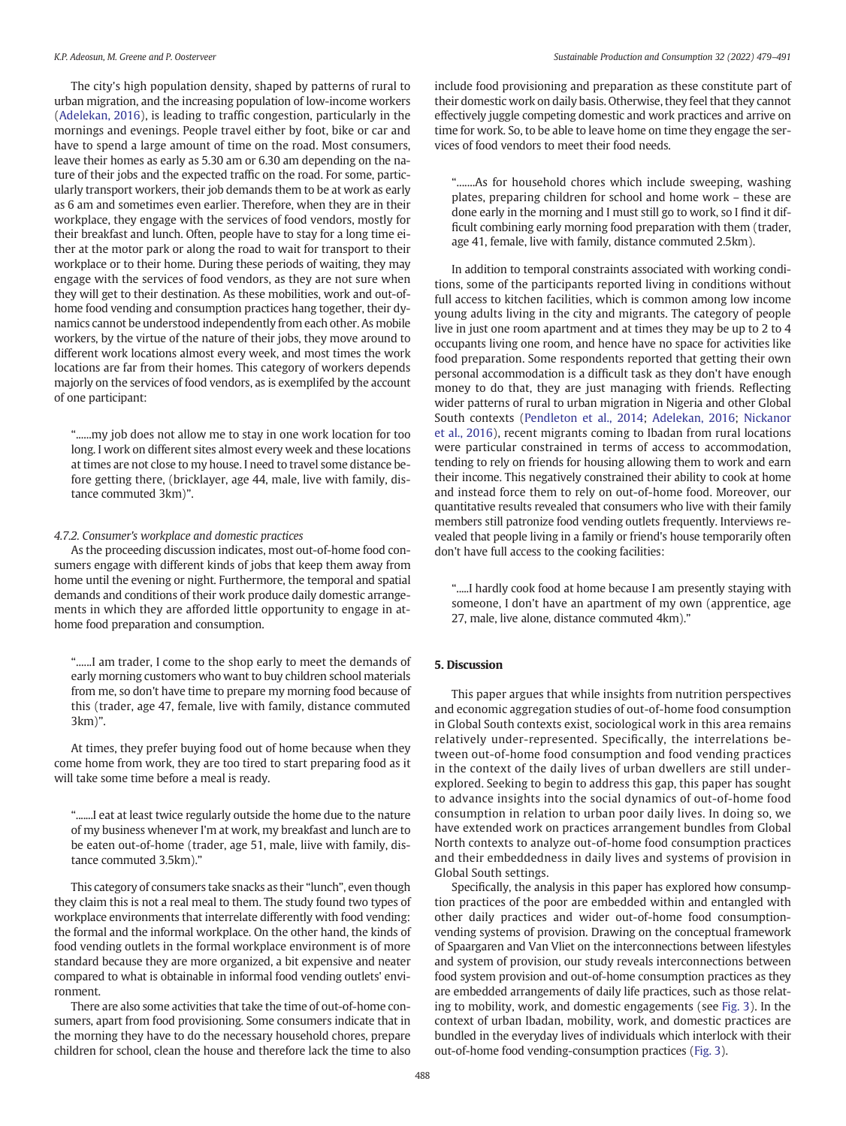The city's high population density, shaped by patterns of rural to urban migration, and the increasing population of low-income workers ([Adelekan, 2016\)](#page-12-0), is leading to traffic congestion, particularly in the mornings and evenings. People travel either by foot, bike or car and have to spend a large amount of time on the road. Most consumers, leave their homes as early as 5.30 am or 6.30 am depending on the nature of their jobs and the expected traffic on the road. For some, particularly transport workers, their job demands them to be at work as early as 6 am and sometimes even earlier. Therefore, when they are in their workplace, they engage with the services of food vendors, mostly for their breakfast and lunch. Often, people have to stay for a long time either at the motor park or along the road to wait for transport to their workplace or to their home. During these periods of waiting, they may engage with the services of food vendors, as they are not sure when they will get to their destination. As these mobilities, work and out-ofhome food vending and consumption practices hang together, their dynamics cannot be understood independently from each other. As mobile workers, by the virtue of the nature of their jobs, they move around to different work locations almost every week, and most times the work locations are far from their homes. This category of workers depends majorly on the services of food vendors, as is exemplifed by the account of one participant:

"......my job does not allow me to stay in one work location for too long. I work on different sites almost every week and these locations at times are not close to my house. I need to travel some distance before getting there, (bricklayer, age 44, male, live with family, distance commuted 3km)".

#### 4.7.2. Consumer's workplace and domestic practices

As the proceeding discussion indicates, most out-of-home food consumers engage with different kinds of jobs that keep them away from home until the evening or night. Furthermore, the temporal and spatial demands and conditions of their work produce daily domestic arrangements in which they are afforded little opportunity to engage in athome food preparation and consumption.

"......I am trader, I come to the shop early to meet the demands of early morning customers who want to buy children school materials from me, so don't have time to prepare my morning food because of this (trader, age 47, female, live with family, distance commuted 3km)".

At times, they prefer buying food out of home because when they come home from work, they are too tired to start preparing food as it will take some time before a meal is ready.

".......I eat at least twice regularly outside the home due to the nature of my business whenever I'm at work, my breakfast and lunch are to be eaten out-of-home (trader, age 51, male, liive with family, distance commuted 3.5km)."

This category of consumers take snacks as their "lunch", even though they claim this is not a real meal to them. The study found two types of workplace environments that interrelate differently with food vending: the formal and the informal workplace. On the other hand, the kinds of food vending outlets in the formal workplace environment is of more standard because they are more organized, a bit expensive and neater compared to what is obtainable in informal food vending outlets' environment.

There are also some activities that take the time of out-of-home consumers, apart from food provisioning. Some consumers indicate that in the morning they have to do the necessary household chores, prepare children for school, clean the house and therefore lack the time to also include food provisioning and preparation as these constitute part of their domestic work on daily basis. Otherwise, they feel that they cannot effectively juggle competing domestic and work practices and arrive on time for work. So, to be able to leave home on time they engage the services of food vendors to meet their food needs.

".......As for household chores which include sweeping, washing plates, preparing children for school and home work – these are done early in the morning and I must still go to work, so I find it difficult combining early morning food preparation with them (trader, age 41, female, live with family, distance commuted 2.5km).

In addition to temporal constraints associated with working conditions, some of the participants reported living in conditions without full access to kitchen facilities, which is common among low income young adults living in the city and migrants. The category of people live in just one room apartment and at times they may be up to 2 to 4 occupants living one room, and hence have no space for activities like food preparation. Some respondents reported that getting their own personal accommodation is a difficult task as they don't have enough money to do that, they are just managing with friends. Reflecting wider patterns of rural to urban migration in Nigeria and other Global South contexts [\(Pendleton et al., 2014](#page-12-0); [Adelekan, 2016;](#page-12-0) [Nickanor](#page-12-0) [et al., 2016](#page-12-0)), recent migrants coming to Ibadan from rural locations were particular constrained in terms of access to accommodation, tending to rely on friends for housing allowing them to work and earn their income. This negatively constrained their ability to cook at home and instead force them to rely on out-of-home food. Moreover, our quantitative results revealed that consumers who live with their family members still patronize food vending outlets frequently. Interviews revealed that people living in a family or friend's house temporarily often don't have full access to the cooking facilities:

".....I hardly cook food at home because I am presently staying with someone, I don't have an apartment of my own (apprentice, age 27, male, live alone, distance commuted 4km)."

## 5. Discussion

This paper argues that while insights from nutrition perspectives and economic aggregation studies of out-of-home food consumption in Global South contexts exist, sociological work in this area remains relatively under-represented. Specifically, the interrelations between out-of-home food consumption and food vending practices in the context of the daily lives of urban dwellers are still underexplored. Seeking to begin to address this gap, this paper has sought to advance insights into the social dynamics of out-of-home food consumption in relation to urban poor daily lives. In doing so, we have extended work on practices arrangement bundles from Global North contexts to analyze out-of-home food consumption practices and their embeddedness in daily lives and systems of provision in Global South settings.

Specifically, the analysis in this paper has explored how consumption practices of the poor are embedded within and entangled with other daily practices and wider out-of-home food consumptionvending systems of provision. Drawing on the conceptual framework of Spaargaren and Van Vliet on the interconnections between lifestyles and system of provision, our study reveals interconnections between food system provision and out-of-home consumption practices as they are embedded arrangements of daily life practices, such as those relating to mobility, work, and domestic engagements (see [Fig. 3\)](#page-10-0). In the context of urban Ibadan, mobility, work, and domestic practices are bundled in the everyday lives of individuals which interlock with their out-of-home food vending-consumption practices [\(Fig. 3\)](#page-10-0).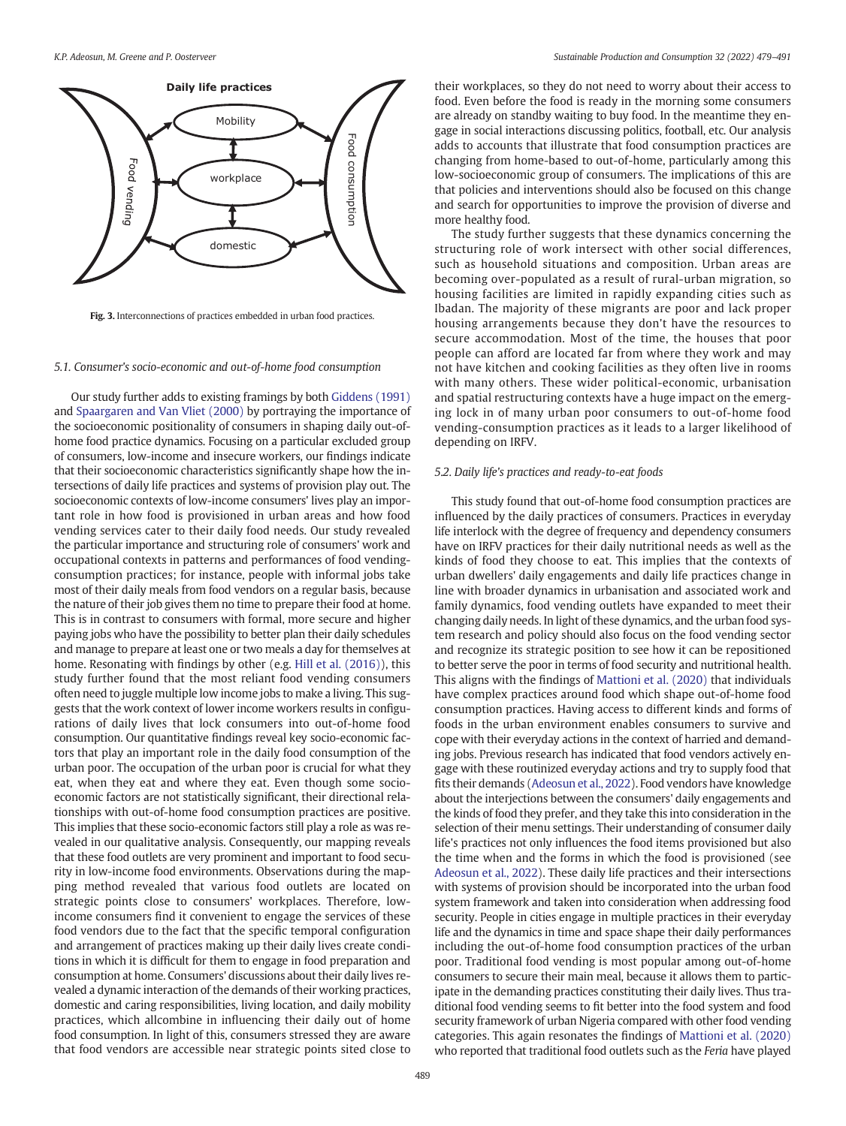<span id="page-10-0"></span>

Fig. 3. Interconnections of practices embedded in urban food practices.

#### 5.1. Consumer's socio-economic and out-of-home food consumption

Our study further adds to existing framings by both [Giddens \(1991\)](#page-12-0) and [Spaargaren and Van Vliet \(2000\)](#page-12-0) by portraying the importance of the socioeconomic positionality of consumers in shaping daily out-ofhome food practice dynamics. Focusing on a particular excluded group of consumers, low-income and insecure workers, our findings indicate that their socioeconomic characteristics significantly shape how the intersections of daily life practices and systems of provision play out. The socioeconomic contexts of low-income consumers' lives play an important role in how food is provisioned in urban areas and how food vending services cater to their daily food needs. Our study revealed the particular importance and structuring role of consumers' work and occupational contexts in patterns and performances of food vendingconsumption practices; for instance, people with informal jobs take most of their daily meals from food vendors on a regular basis, because the nature of their job gives them no time to prepare their food at home. This is in contrast to consumers with formal, more secure and higher paying jobs who have the possibility to better plan their daily schedules and manage to prepare at least one or two meals a day for themselves at home. Resonating with findings by other (e.g. [Hill et al. \(2016\)\)](#page-12-0), this study further found that the most reliant food vending consumers often need to juggle multiple low income jobs to make a living. This suggests that the work context of lower income workers results in configurations of daily lives that lock consumers into out-of-home food consumption. Our quantitative findings reveal key socio-economic factors that play an important role in the daily food consumption of the urban poor. The occupation of the urban poor is crucial for what they eat, when they eat and where they eat. Even though some socioeconomic factors are not statistically significant, their directional relationships with out-of-home food consumption practices are positive. This implies that these socio-economic factors still play a role as was revealed in our qualitative analysis. Consequently, our mapping reveals that these food outlets are very prominent and important to food security in low-income food environments. Observations during the mapping method revealed that various food outlets are located on strategic points close to consumers' workplaces. Therefore, lowincome consumers find it convenient to engage the services of these food vendors due to the fact that the specific temporal configuration and arrangement of practices making up their daily lives create conditions in which it is difficult for them to engage in food preparation and consumption at home. Consumers' discussions about their daily lives revealed a dynamic interaction of the demands of their working practices, domestic and caring responsibilities, living location, and daily mobility practices, which allcombine in influencing their daily out of home food consumption. In light of this, consumers stressed they are aware that food vendors are accessible near strategic points sited close to their workplaces, so they do not need to worry about their access to food. Even before the food is ready in the morning some consumers are already on standby waiting to buy food. In the meantime they engage in social interactions discussing politics, football, etc. Our analysis adds to accounts that illustrate that food consumption practices are changing from home-based to out-of-home, particularly among this low-socioeconomic group of consumers. The implications of this are that policies and interventions should also be focused on this change and search for opportunities to improve the provision of diverse and more healthy food.

The study further suggests that these dynamics concerning the structuring role of work intersect with other social differences, such as household situations and composition. Urban areas are becoming over-populated as a result of rural-urban migration, so housing facilities are limited in rapidly expanding cities such as Ibadan. The majority of these migrants are poor and lack proper housing arrangements because they don't have the resources to secure accommodation. Most of the time, the houses that poor people can afford are located far from where they work and may not have kitchen and cooking facilities as they often live in rooms with many others. These wider political-economic, urbanisation and spatial restructuring contexts have a huge impact on the emerging lock in of many urban poor consumers to out-of-home food vending-consumption practices as it leads to a larger likelihood of depending on IRFV.

#### 5.2. Daily life's practices and ready-to-eat foods

This study found that out-of-home food consumption practices are influenced by the daily practices of consumers. Practices in everyday life interlock with the degree of frequency and dependency consumers have on IRFV practices for their daily nutritional needs as well as the kinds of food they choose to eat. This implies that the contexts of urban dwellers' daily engagements and daily life practices change in line with broader dynamics in urbanisation and associated work and family dynamics, food vending outlets have expanded to meet their changing daily needs. In light of these dynamics, and the urban food system research and policy should also focus on the food vending sector and recognize its strategic position to see how it can be repositioned to better serve the poor in terms of food security and nutritional health. This aligns with the findings of [Mattioni et al. \(2020\)](#page-12-0) that individuals have complex practices around food which shape out-of-home food consumption practices. Having access to different kinds and forms of foods in the urban environment enables consumers to survive and cope with their everyday actions in the context of harried and demanding jobs. Previous research has indicated that food vendors actively engage with these routinized everyday actions and try to supply food that fits their demands [\(Adeosun et al., 2022](#page-12-0)). Food vendors have knowledge about the interjections between the consumers' daily engagements and the kinds of food they prefer, and they take this into consideration in the selection of their menu settings. Their understanding of consumer daily life's practices not only influences the food items provisioned but also the time when and the forms in which the food is provisioned (see [Adeosun et al., 2022\)](#page-12-0). These daily life practices and their intersections with systems of provision should be incorporated into the urban food system framework and taken into consideration when addressing food security. People in cities engage in multiple practices in their everyday life and the dynamics in time and space shape their daily performances including the out-of-home food consumption practices of the urban poor. Traditional food vending is most popular among out-of-home consumers to secure their main meal, because it allows them to participate in the demanding practices constituting their daily lives. Thus traditional food vending seems to fit better into the food system and food security framework of urban Nigeria compared with other food vending categories. This again resonates the findings of [Mattioni et al. \(2020\)](#page-12-0) who reported that traditional food outlets such as the Feria have played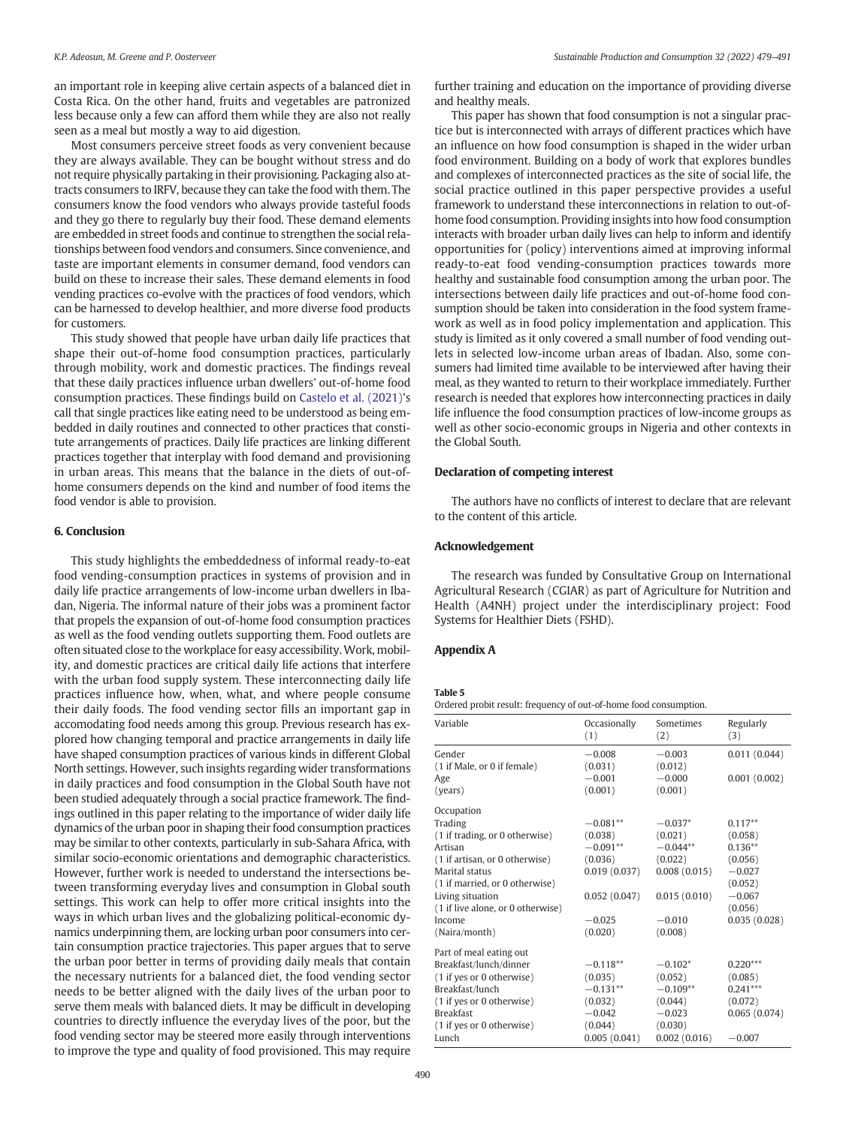<span id="page-11-0"></span>an important role in keeping alive certain aspects of a balanced diet in Costa Rica. On the other hand, fruits and vegetables are patronized less because only a few can afford them while they are also not really seen as a meal but mostly a way to aid digestion.

Most consumers perceive street foods as very convenient because they are always available. They can be bought without stress and do not require physically partaking in their provisioning. Packaging also attracts consumers to IRFV, because they can take the food with them. The consumers know the food vendors who always provide tasteful foods and they go there to regularly buy their food. These demand elements are embedded in street foods and continue to strengthen the social relationships between food vendors and consumers. Since convenience, and taste are important elements in consumer demand, food vendors can build on these to increase their sales. These demand elements in food vending practices co-evolve with the practices of food vendors, which can be harnessed to develop healthier, and more diverse food products for customers.

This study showed that people have urban daily life practices that shape their out-of-home food consumption practices, particularly through mobility, work and domestic practices. The findings reveal that these daily practices influence urban dwellers' out-of-home food consumption practices. These findings build on [Castelo et al. \(2021\)](#page-12-0)'s call that single practices like eating need to be understood as being embedded in daily routines and connected to other practices that constitute arrangements of practices. Daily life practices are linking different practices together that interplay with food demand and provisioning in urban areas. This means that the balance in the diets of out-ofhome consumers depends on the kind and number of food items the food vendor is able to provision.

#### 6. Conclusion

This study highlights the embeddedness of informal ready-to-eat food vending-consumption practices in systems of provision and in daily life practice arrangements of low-income urban dwellers in Ibadan, Nigeria. The informal nature of their jobs was a prominent factor that propels the expansion of out-of-home food consumption practices as well as the food vending outlets supporting them. Food outlets are often situated close to the workplace for easy accessibility. Work, mobility, and domestic practices are critical daily life actions that interfere with the urban food supply system. These interconnecting daily life practices influence how, when, what, and where people consume their daily foods. The food vending sector fills an important gap in accomodating food needs among this group. Previous research has explored how changing temporal and practice arrangements in daily life have shaped consumption practices of various kinds in different Global North settings. However, such insights regarding wider transformations in daily practices and food consumption in the Global South have not been studied adequately through a social practice framework. The findings outlined in this paper relating to the importance of wider daily life dynamics of the urban poor in shaping their food consumption practices may be similar to other contexts, particularly in sub-Sahara Africa, with similar socio-economic orientations and demographic characteristics. However, further work is needed to understand the intersections between transforming everyday lives and consumption in Global south settings. This work can help to offer more critical insights into the ways in which urban lives and the globalizing political-economic dynamics underpinning them, are locking urban poor consumers into certain consumption practice trajectories. This paper argues that to serve the urban poor better in terms of providing daily meals that contain the necessary nutrients for a balanced diet, the food vending sector needs to be better aligned with the daily lives of the urban poor to serve them meals with balanced diets. It may be difficult in developing countries to directly influence the everyday lives of the poor, but the food vending sector may be steered more easily through interventions to improve the type and quality of food provisioned. This may require

further training and education on the importance of providing diverse and healthy meals.

This paper has shown that food consumption is not a singular practice but is interconnected with arrays of different practices which have an influence on how food consumption is shaped in the wider urban food environment. Building on a body of work that explores bundles and complexes of interconnected practices as the site of social life, the social practice outlined in this paper perspective provides a useful framework to understand these interconnections in relation to out-ofhome food consumption. Providing insights into how food consumption interacts with broader urban daily lives can help to inform and identify opportunities for (policy) interventions aimed at improving informal ready-to-eat food vending-consumption practices towards more healthy and sustainable food consumption among the urban poor. The intersections between daily life practices and out-of-home food consumption should be taken into consideration in the food system framework as well as in food policy implementation and application. This study is limited as it only covered a small number of food vending outlets in selected low-income urban areas of Ibadan. Also, some consumers had limited time available to be interviewed after having their meal, as they wanted to return to their workplace immediately. Further research is needed that explores how interconnecting practices in daily life influence the food consumption practices of low-income groups as well as other socio-economic groups in Nigeria and other contexts in the Global South.

## Declaration of competing interest

The authors have no conflicts of interest to declare that are relevant to the content of this article.

#### Acknowledgement

The research was funded by Consultative Group on International Agricultural Research (CGIAR) as part of Agriculture for Nutrition and Health (A4NH) project under the interdisciplinary project: Food Systems for Healthier Diets (FSHD).

#### Appendix A

### Table 5

Ordered probit result: frequency of out-of-home food consumption.

| Variable                          | Occasionally<br>(1) | Sometimes<br>(2) | Regularly<br>(3) |
|-----------------------------------|---------------------|------------------|------------------|
| Gender                            | $-0.008$            | $-0.003$         | 0.011(0.044)     |
| (1 if Male, or 0 if female)       | (0.031)             | (0.012)          |                  |
| Age                               | $-0.001$            | $-0.000$         | 0.001(0.002)     |
| (years)                           | (0.001)             | (0.001)          |                  |
| Occupation                        |                     |                  |                  |
| Trading                           | $-0.081**$          | $-0.037*$        | $0.117**$        |
| (1 if trading, or 0 otherwise)    | (0.038)             | (0.021)          | (0.058)          |
| Artisan                           | $-0.091**$          | $-0.044**$       | $0.136**$        |
| (1 if artisan, or 0 otherwise)    | (0.036)             | (0.022)          | (0.056)          |
| Marital status                    | 0.019(0.037)        | 0.008(0.015)     | $-0.027$         |
| (1 if married, or 0 otherwise)    |                     |                  | (0.052)          |
| Living situation                  | 0.052(0.047)        | 0.015(0.010)     | $-0.067$         |
| (1 if live alone, or 0 otherwise) |                     |                  | (0.056)          |
| Income                            | $-0.025$            | $-0.010$         | 0.035(0.028)     |
| (Naira/month)                     | (0.020)             | (0.008)          |                  |
| Part of meal eating out           |                     |                  |                  |
| Breakfast/lunch/dinner            | $-0.118**$          | $-0.102*$        | $0.220***$       |
| (1 if yes or 0 otherwise)         | (0.035)             | (0.052)          | (0.085)          |
| Breakfast/lunch                   | $-0.131**$          | $-0.109**$       | $0.241***$       |
| (1 if yes or 0 otherwise)         | (0.032)             | (0.044)          | (0.072)          |
| <b>Breakfast</b>                  | $-0.042$            | $-0.023$         | 0.065(0.074)     |
| (1 if yes or 0 otherwise)         | (0.044)             | (0.030)          |                  |
| Lunch                             | 0.005(0.041)        | 0.002(0.016)     | $-0.007$         |